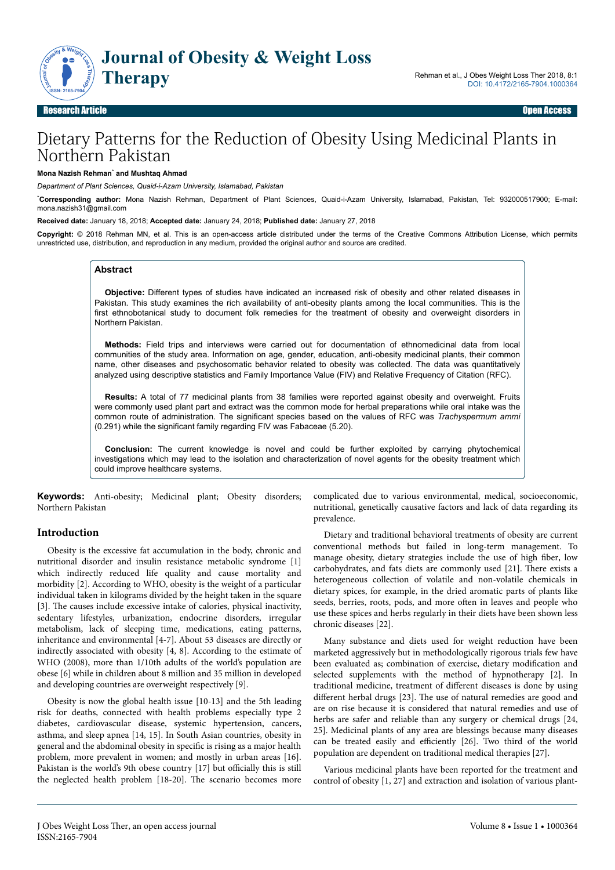

# Dietary Patterns for the Reduction of Obesity Using Medicinal Plants in Northern Pakistan

#### **Mona Nazish Rehman**\*  **and Mushtaq Ahmad**

*Department of Plant Sciences, Quaid-i-Azam University, Islamabad, Pakistan*

\***Corresponding author:** Mona Nazish Rehman, Department of Plant Sciences, Quaid-i-Azam University, Islamabad, Pakistan, Tel: 932000517900; E-mail: mona.nazish31@gmail.com

**Received date:** January 18, 2018; **Accepted date:** January 24, 2018; **Published date:** January 27, 2018

**Copyright:** © 2018 Rehman MN, et al. This is an open-access article distributed under the terms of the Creative Commons Attribution License, which permits unrestricted use, distribution, and reproduction in any medium, provided the original author and source are credited.

### **Abstract**

**Objective:** Different types of studies have indicated an increased risk of obesity and other related diseases in Pakistan. This study examines the rich availability of anti-obesity plants among the local communities. This is the first ethnobotanical study to document folk remedies for the treatment of obesity and overweight disorders in Northern Pakistan.

**Methods:** Field trips and interviews were carried out for documentation of ethnomedicinal data from local communities of the study area. Information on age, gender, education, anti-obesity medicinal plants, their common name, other diseases and psychosomatic behavior related to obesity was collected. The data was quantitatively analyzed using descriptive statistics and Family Importance Value (FIV) and Relative Frequency of Citation (RFC).

**Results:** A total of 77 medicinal plants from 38 families were reported against obesity and overweight. Fruits were commonly used plant part and extract was the common mode for herbal preparations while oral intake was the common route of administration. The significant species based on the values of RFC was *Trachyspermum ammi* (0.291) while the significant family regarding FIV was Fabaceae (5.20).

**Conclusion:** The current knowledge is novel and could be further exploited by carrying phytochemical investigations which may lead to the isolation and characterization of novel agents for the obesity treatment which could improve healthcare systems.

**Keywords:** Anti-obesity; Medicinal plant; Obesity disorders; Northern Pakistan

### **Introduction**

Obesity is the excessive fat accumulation in the body, chronic and nutritional disorder and insulin resistance metabolic syndrome [1] which indirectly reduced life quality and cause mortality and morbidity [2]. According to WHO, obesity is the weight of a particular individual taken in kilograms divided by the height taken in the square [3]. The causes include excessive intake of calories, physical inactivity, sedentary lifestyles, urbanization, endocrine disorders, irregular metabolism, lack of sleeping time, medications, eating patterns, inheritance and environmental [4-7]. About 53 diseases are directly or indirectly associated with obesity [4, 8]. According to the estimate of WHO (2008), more than 1/10th adults of the world's population are obese [6] while in children about 8 million and 35 million in developed and developing countries are overweight respectively [9].

Obesity is now the global health issue [10-13] and the 5th leading risk for deaths, connected with health problems especially type 2 diabetes, cardiovascular disease, systemic hypertension, cancers, asthma, and sleep apnea [14, 15]. In South Asian countries, obesity in general and the abdominal obesity in specific is rising as a major health problem, more prevalent in women; and mostly in urban areas [16]. Pakistan is the world's 9th obese country [17] but officially this is still the neglected health problem [18-20]. Нe scenario becomes more

complicated due to various environmental, medical, socioeconomic, nutritional, genetically causative factors and lack of data regarding its prevalence.

Dietary and traditional behavioral treatments of obesity are current conventional methods but failed in long-term management. To manage obesity, dietary strategies include the use of high fiber, low carbohydrates, and fats diets are commonly used [21]. Нere exists a heterogeneous collection of volatile and non-volatile chemicals in dietary spices, for example, in the dried aromatic parts of plants like seeds, berries, roots, pods, and more often in leaves and people who use these spices and herbs regularly in their diets have been shown less chronic diseases [22].

Many substance and diets used for weight reduction have been marketed aggressively but in methodologically rigorous trials few have been evaluated as; combination of exercise, dietary modification and selected supplements with the method of hypnotherapy [2]. In traditional medicine, treatment of different diseases is done by using different herbal drugs [23]. The use of natural remedies are good and are on rise because it is considered that natural remedies and use of herbs are safer and reliable than any surgery or chemical drugs [24, 25]. Medicinal plants of any area are blessings because many diseases can be treated easily and efficiently [26]. Two third of the world population are dependent on traditional medical therapies [27].

Various medicinal plants have been reported for the treatment and control of obesity [1, 27] and extraction and isolation of various plant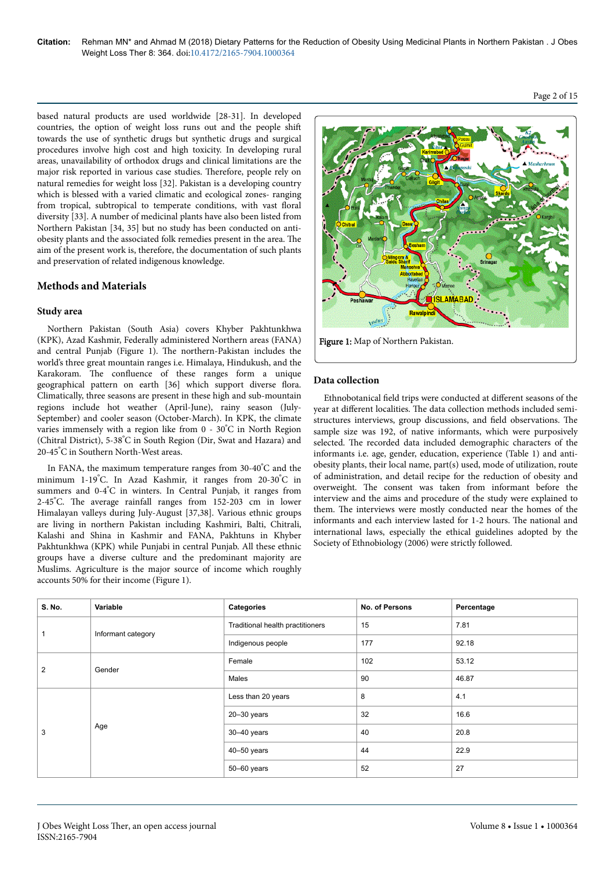based natural products are used worldwide [28-31]. In developed countries, the option of weight loss runs out and the people shift towards the use of synthetic drugs but synthetic drugs and surgical procedures involve high cost and high toxicity. In developing rural areas, unavailability of orthodox drugs and clinical limitations are the major risk reported in various case studies. Нerefore, people rely on natural remedies for weight loss [32]. Pakistan is a developing country which is blessed with a varied climatic and ecological zones- ranging from tropical, subtropical to temperate conditions, with vast floral diversity [33]. A number of medicinal plants have also been listed from Northern Pakistan [34, 35] but no study has been conducted on antiobesity plants and the associated folk remedies present in the area. Нe aim of the present work is, therefore, the documentation of such plants and preservation of related indigenous knowledge.

## **Methods and Materials**

## **Study area**

Northern Pakistan (South Asia) covers Khyber Pakhtunkhwa (KPK), Azad Kashmir, Federally administered Northern areas (FANA) and central Punjab (Figure 1). Нe northern-Pakistan includes the world's three great mountain ranges i.e. Himalaya, Hindukush, and the Karakoram. Нe confluence of these ranges form a unique geographical pattern on earth [36] which support diverse flora. Climatically, three seasons are present in these high and sub-mountain regions include hot weather (April-June), rainy season (July-September) and cooler season (October-March). In KPK, the climate varies immensely with a region like from 0 - 30°C in North Region (Chitral District), 5-38°C in South Region (Dir, Swat and Hazara) and 20-45°C in Southern North-West areas.

In FANA, the maximum temperature ranges from 30-40°C and the minimum 1-19°C. In Azad Kashmir, it ranges from 20-30°C in summers and 0-4°C in winters. In Central Punjab, it ranges from 2-45°C. Нe average rainfall ranges from 152-203 cm in lower Himalayan valleys during July-August [37,38]. Various ethnic groups are living in northern Pakistan including Kashmiri, Balti, Chitrali, Kalashi and Shina in Kashmir and FANA, Pakhtuns in Khyber Pakhtunkhwa (KPK) while Punjabi in central Punjab. All these ethnic groups have a diverse culture and the predominant majority are Muslims. Agriculture is the major source of income which roughly accounts 50% for their income (Figure 1).



### **Data collection**

Ethnobotanical field trips were conducted at different seasons of the year at different localities. The data collection methods included semistructures interviews, group discussions, and field observations. Нe sample size was 192, of native informants, which were purposively selected. Нe recorded data included demographic characters of the informants i.e. age, gender, education, experience (Table 1) and antiobesity plants, their local name, part(s) used, mode of utilization, route of administration, and detail recipe for the reduction of obesity and overweight. Нe consent was taken from informant before the interview and the aims and procedure of the study were explained to them. Нe interviews were mostly conducted near the homes of the informants and each interview lasted for 1-2 hours. Нe national and international laws, especially the ethical guidelines adopted by the Society of Ethnobiology (2006) were strictly followed.

| S. No.         | Variable           | Categories                       | No. of Persons | Percentage |
|----------------|--------------------|----------------------------------|----------------|------------|
|                | Informant category | Traditional health practitioners | 15             | 7.81       |
|                |                    | Indigenous people                | 177            | 92.18      |
|                | Gender             | Female                           | 102            | 53.12      |
| $\overline{2}$ |                    | Males                            | 90             | 46.87      |
|                |                    | Less than 20 years               | 8              | 4.1        |
|                |                    | $20 - 30$ years                  | 32             | 16.6       |
| 3              | Age                | 30-40 years                      | 40             | 20.8       |
|                |                    | $40 - 50$ years                  | 44             | 22.9       |
|                |                    | 50-60 years                      | 52             | 27         |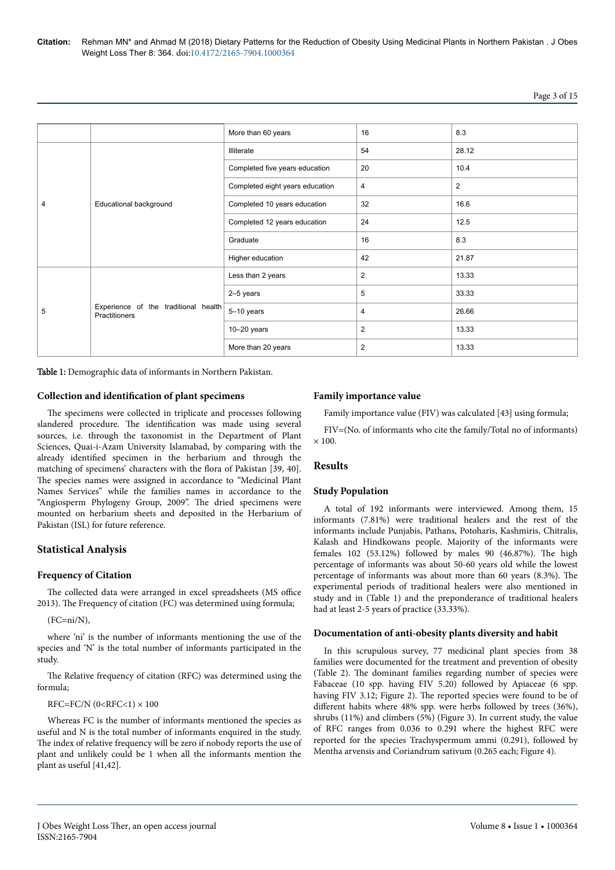|--|

|   |                                                       | More than 60 years              | 16             | 8.3                     |
|---|-------------------------------------------------------|---------------------------------|----------------|-------------------------|
|   |                                                       | <b>Illiterate</b>               | 54             | 28.12                   |
|   |                                                       | Completed five years education  | 20             | 10.4                    |
|   |                                                       | Completed eight years education | 4              | $\overline{\mathbf{c}}$ |
| 4 | Educational background                                | Completed 10 years education    | 32             | 16.6                    |
|   |                                                       | Completed 12 years education    | 24             | 12.5                    |
|   |                                                       | Graduate                        | 16             | 8.3                     |
|   |                                                       | Higher education                | 42             | 21.87                   |
|   |                                                       | Less than 2 years               | $\overline{2}$ | 13.33                   |
|   |                                                       | 2-5 years                       | 5              | 33.33                   |
| 5 | Experience of the traditional health<br>Practitioners | 5-10 years                      | 4              | 26.66                   |
|   |                                                       | $10-20$ years                   | $\overline{2}$ | 13.33                   |
|   |                                                       | More than 20 years              | $\overline{2}$ | 13.33                   |

Table 1: Demographic data of informants in Northern Pakistan.

### **Collection and identification of plant specimens**

The specimens were collected in triplicate and processes following slandered procedure. Нe identification was made using several sources, i.e. through the taxonomist in the Department of Plant Sciences, Quai-i-Azam University Islamabad, by comparing with the already identified specimen in the herbarium and through the matching of specimens' characters with the flora of Pakistan [39, 40]. The species names were assigned in accordance to "Medicinal Plant Names Services" while the families names in accordance to the "Angiosperm Phylogeny Group, 2009". Нe dried specimens were mounted on herbarium sheets and deposited in the Herbarium of Pakistan (ISL) for future reference.

### **Statistical Analysis**

#### **Frequency of Citation**

The collected data were arranged in excel spreadsheets (MS office 2013). Нe Frequency of citation (FC) was determined using formula;

#### $(FC=ni/N)$

where 'ni' is the number of informants mentioning the use of the species and 'N' is the total number of informants participated in the study.

The Relative frequency of citation (RFC) was determined using the formula;

RFC=FC/N (0<RFC<1) × 100

Whereas FC is the number of informants mentioned the species as useful and N is the total number of informants enquired in the study. The index of relative frequency will be zero if nobody reports the use of plant and unlikely could be 1 when all the informants mention the plant as useful [41,42].

### **Family importance value**

Family importance value (FIV) was calculated [43] using formula;

FIV=(No. of informants who cite the family/Total no of informants)  $\times$  100

#### **Results**

### **Study Population**

A total of 192 informants were interviewed. Among them, 15 informants (7.81%) were traditional healers and the rest of the informants include Punjabis, Pathans, Potoharis, Kashmiris, Chitralis, Kalash and Hindkowans people. Majority of the informants were females 102 (53.12%) followed by males 90 (46.87%). Нe high percentage of informants was about 50-60 years old while the lowest percentage of informants was about more than 60 years (8.3%). Нe experimental periods of traditional healers were also mentioned in study and in (Table 1) and the preponderance of traditional healers had at least 2-5 years of practice (33.33%).

#### **Documentation of anti-obesity plants diversity and habit**

In this scrupulous survey, 77 medicinal plant species from 38 families were documented for the treatment and prevention of obesity (Table 2). Нe dominant families regarding number of species were Fabaceae (10 spp. having FIV 5.20) followed by Apiaceae (6 spp. having FIV 3.12; Figure 2). The reported species were found to be of different habits where 48% spp. were herbs followed by trees (36%), shrubs (11%) and climbers (5%) (Figure 3). In current study, the value of RFC ranges from 0.036 to 0.291 where the highest RFC were reported for the species Trachyspermum ammi (0.291), followed by Mentha arvensis and Coriandrum sativum (0.265 each; Figure 4).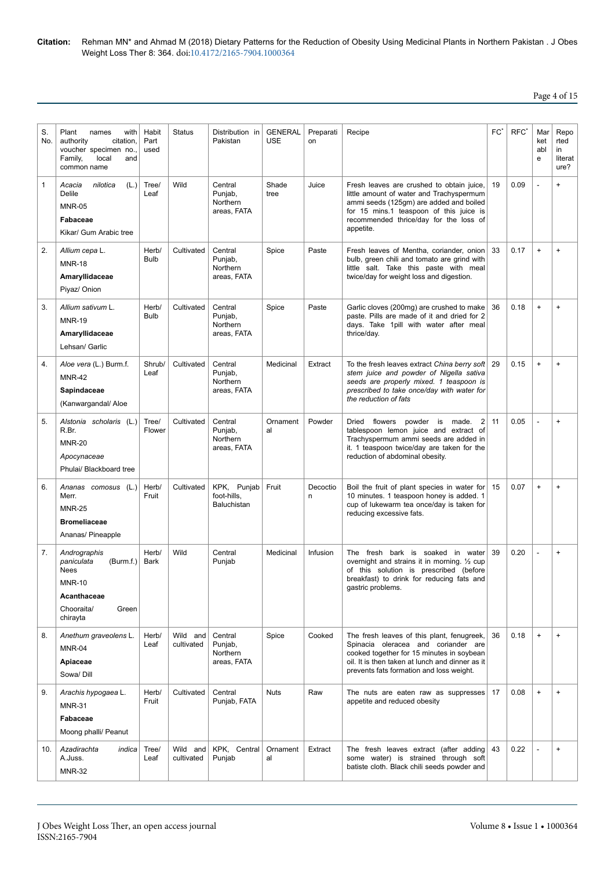## Page 4 of 15

| S.<br>No. | Plant<br>names<br>with<br>authority<br>citation,<br>voucher specimen no.,<br>Family,<br>local<br>and<br>common name | Habit<br>Part<br>used | <b>Status</b>          | Distribution in<br>Pakistan                   | <b>GENERAL</b><br><b>USE</b> | Preparati<br>on | Recipe                                                                                                                                                                                                                             | $FC^*$ | RFC <sup>'</sup> | Mar<br>ket<br>abl<br>e | Repo<br>rted<br>in<br>literat<br>ure? |
|-----------|---------------------------------------------------------------------------------------------------------------------|-----------------------|------------------------|-----------------------------------------------|------------------------------|-----------------|------------------------------------------------------------------------------------------------------------------------------------------------------------------------------------------------------------------------------------|--------|------------------|------------------------|---------------------------------------|
| 1         | (L.)<br>nilotica<br>Acacia<br><b>Delile</b><br><b>MNR-05</b><br>Fabaceae<br>Kikar/ Gum Arabic tree                  | Tree/<br>Leaf         | Wild                   | Central<br>Punjab,<br>Northern<br>areas, FATA | Shade<br>tree                | Juice           | Fresh leaves are crushed to obtain juice,<br>little amount of water and Trachyspermum<br>ammi seeds (125gm) are added and boiled<br>for 15 mins.1 teaspoon of this juice is<br>recommended thrice/day for the loss of<br>appetite. | 19     | 0.09             | L,                     | $\ddot{}$                             |
| 2.        | Allium cepa L.<br><b>MNR-18</b><br>Amaryllidaceae<br>Piyaz/ Onion                                                   | Herb/<br><b>Bulb</b>  | Cultivated             | Central<br>Punjab,<br>Northern<br>areas, FATA | Spice                        | Paste           | Fresh leaves of Mentha, coriander, onion<br>bulb, green chili and tomato are grind with<br>little salt. Take this paste with meal<br>twice/day for weight loss and digestion.                                                      | 33     | 0.17             | $\ddot{}$              | $\ddot{}$                             |
| 3.        | Allium sativum L.<br><b>MNR-19</b><br>Amaryllidaceae<br>Lehsan/ Garlic                                              | Herb/<br><b>Bulb</b>  | Cultivated             | Central<br>Punjab,<br>Northern<br>areas, FATA | Spice                        | Paste           | Garlic cloves (200mg) are crushed to make<br>paste. Pills are made of it and dried for 2<br>days. Take 1pill with water after meal<br>thrice/day.                                                                                  | 36     | 0.18             | $\ddot{}$              | $\ddot{}$                             |
| 4.        | Aloe vera (L.) Burm.f.<br><b>MNR-42</b><br>Sapindaceae<br>(Kanwargandal/ Aloe                                       | Shrub/<br>Leaf        | Cultivated             | Central<br>Punjab,<br>Northern<br>areas, FATA | Medicinal                    | Extract         | To the fresh leaves extract China berry soft<br>stem juice and powder of Nigella sativa<br>seeds are properly mixed. 1 teaspoon is<br>prescribed to take once/day with water for<br>the reduction of fats                          | 29     | 0.15             | $\ddot{}$              | $\ddot{}$                             |
| 5.        | Alstonia scholaris (L.)<br>R.Br.<br><b>MNR-20</b><br>Apocynaceae<br>Phulai/ Blackboard tree                         | Tree/<br>Flower       | Cultivated             | Central<br>Punjab,<br>Northern<br>areas, FATA | Ornament<br>al               | Powder          | Dried flowers powder is<br>$\overline{2}$<br>made.<br>tablespoon lemon juice and extract of<br>Trachyspermum ammi seeds are added in<br>it. 1 teaspoon twice/day are taken for the<br>reduction of abdominal obesity.              | 11     | 0.05             | L,                     | $\ddot{}$                             |
| 6.        | Ananas comosus (L.)<br>Merr.<br><b>MNR-25</b><br><b>Bromeliaceae</b><br>Ananas/ Pineapple                           | Herb/<br>Fruit        | Cultivated             | KPK, Punjab<br>foot-hills.<br>Baluchistan     | Fruit                        | Decoctio<br>n   | Boil the fruit of plant species in water for<br>10 minutes. 1 teaspoon honey is added. 1<br>cup of lukewarm tea once/day is taken for<br>reducing excessive fats.                                                                  | 15     | 0.07             | $\ddot{}$              | $\ddot{}$                             |
| 7.        | Andrographis<br>paniculata<br>(Burm.f.)<br>Nees<br><b>MNR-10</b><br>Acanthaceae<br>Chooraita/<br>Green<br>chirayta  | Herb/<br>Bark         | Wild                   | Central<br>Punjab                             | Medicinal                    | Infusion        | The fresh bark is soaked in water<br>overnight and strains it in morning. 1/2 cup<br>of this solution is prescribed (before<br>breakfast) to drink for reducing fats and<br>gastric problems.                                      | 39     | 0.20             | ÷.                     | $\ddot{}$                             |
| 8.        | Anethum graveolens L.<br>MNR-04<br>Apiaceae<br>Sowa/ Dill                                                           | Herb/<br>Leaf         | Wild and<br>cultivated | Central<br>Punjab,<br>Northern<br>areas, FATA | Spice                        | Cooked          | The fresh leaves of this plant, fenugreek,<br>Spinacia oleracea and coriander are<br>cooked together for 15 minutes in soybean<br>oil. It is then taken at lunch and dinner as it<br>prevents fats formation and loss weight.      | 36     | 0.18             | $\ddot{}$              | $\ddot{}$                             |
| 9.        | Arachis hypogaea L.<br><b>MNR-31</b><br>Fabaceae<br>Moong phalli/ Peanut                                            | Herb/<br>Fruit        | Cultivated             | Central<br>Punjab, FATA                       | <b>Nuts</b>                  | Raw             | The nuts are eaten raw as suppresses<br>appetite and reduced obesity                                                                                                                                                               | 17     | 0.08             | $\ddot{}$              | $\ddot{}$                             |
| 10.       | Azadirachta<br>indica<br>A.Juss.<br><b>MNR-32</b>                                                                   | Tree/<br>Leaf         | Wild and<br>cultivated | KPK, Central<br>Punjab                        | Ornament<br>al               | Extract         | The fresh leaves extract (after adding<br>some water) is strained through soft<br>batiste cloth. Black chili seeds powder and                                                                                                      | 43     | 0.22             | L,                     | $\ddot{}$                             |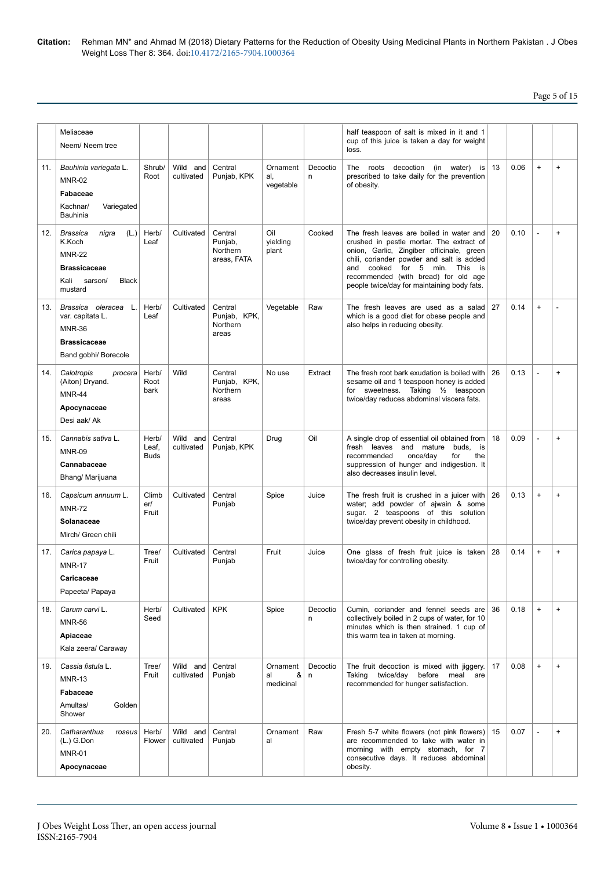## Page 5 of 15

|     | Meliaceae<br>Neem/Neem tree                                                                                                   |                               |                        |                                               |                                  |                          | half teaspoon of salt is mixed in it and 1<br>cup of this juice is taken a day for weight<br>loss.                                                                                                                                                                                                     |    |      |           |                                  |
|-----|-------------------------------------------------------------------------------------------------------------------------------|-------------------------------|------------------------|-----------------------------------------------|----------------------------------|--------------------------|--------------------------------------------------------------------------------------------------------------------------------------------------------------------------------------------------------------------------------------------------------------------------------------------------------|----|------|-----------|----------------------------------|
| 11. | Bauhinia variegata L.<br><b>MNR-02</b><br>Fabaceae<br>Kachnar/<br>Variegated<br><b>Bauhinia</b>                               | Shrub/<br>Root                | Wild and<br>cultivated | Central<br>Punjab, KPK                        | Ornament<br>al,<br>vegetable     | Decoctio<br>n            | The roots decoction (in water) is<br>prescribed to take daily for the prevention<br>of obesity.                                                                                                                                                                                                        | 13 | 0.06 | $\ddot{}$ | $\ddot{}$                        |
| 12. | (L.)<br><b>Brassica</b><br>nigra<br>K.Koch<br><b>MNR-22</b><br><b>Brassicaceae</b><br>Kali sarson/<br><b>Black</b><br>mustard | Herb/<br>Leaf                 | Cultivated             | Central<br>Punjab,<br>Northern<br>areas. FATA | Oil<br>yielding<br>plant         | Cooked                   | The fresh leaves are boiled in water and<br>crushed in pestle mortar. The extract of<br>onion, Garlic, Zingiber officinale, green<br>chili, coriander powder and salt is added<br>and cooked for 5 min. This is<br>recommended (with bread) for old age<br>people twice/day for maintaining body fats. | 20 | 0.10 |           | $\ddot{}$                        |
| 13. | L.<br>Brassica oleracea<br>var. capitata L.<br><b>MNR-36</b><br><b>Brassicaceae</b><br>Band gobhi/ Borecole                   | Herb/<br>Leaf                 | Cultivated             | Central<br>Punjab, KPK,<br>Northern<br>areas  | Vegetable                        | Raw                      | The fresh leaves are used as a salad<br>which is a good diet for obese people and<br>also helps in reducing obesity.                                                                                                                                                                                   | 27 | 0.14 | $\ddot{}$ |                                  |
| 14. | Calotropis<br>procera<br>(Aiton) Dryand.<br><b>MNR-44</b><br>Apocynaceae<br>Desi aak/ Ak                                      | Herb/<br>Root<br>bark         | Wild                   | Central<br>Punjab, KPK,<br>Northern<br>areas  | No use                           | Extract                  | The fresh root bark exudation is boiled with<br>sesame oil and 1 teaspoon honey is added<br>for sweetness. Taking 1/2 teaspoon<br>twice/day reduces abdominal viscera fats.                                                                                                                            | 26 | 0.13 |           | $\ddot{}$                        |
| 15. | Cannabis sativa L.<br><b>MNR-09</b><br>Cannabaceae<br>Bhang/ Marijuana                                                        | Herb/<br>Leaf,<br><b>Buds</b> | Wild and<br>cultivated | Central<br>Punjab, KPK                        | Drug                             | Oil                      | A single drop of essential oil obtained from<br>fresh leaves and mature buds,<br>is<br>recommended<br>once/day<br>for<br>the<br>suppression of hunger and indigestion. It<br>also decreases insulin level.                                                                                             | 18 | 0.09 |           | $\ddot{}$                        |
| 16. | Capsicum annuum L.<br><b>MNR-72</b><br>Solanaceae<br>Mirch/ Green chili                                                       | Climb<br>er/<br>Fruit         | Cultivated             | Central<br>Punjab                             | Spice                            | Juice                    | The fresh fruit is crushed in a juicer with<br>water; add powder of ajwain & some<br>sugar. 2 teaspoons of this solution<br>twice/day prevent obesity in childhood.                                                                                                                                    | 26 | 0.13 | $\ddot{}$ | $\ddot{}$                        |
| 17. | Carica papaya L.<br><b>MNR-17</b><br>Caricaceae<br>Papeeta/ Papaya                                                            | Tree/<br>Fruit                | Cultivated             | Central<br>Punjab                             | Fruit                            | Juice                    | One glass of fresh fruit juice is taken 28<br>twice/day for controlling obesity.                                                                                                                                                                                                                       |    | 0.14 | $\ddot{}$ | $\ddot{}$                        |
| 18. | Carum carvi L.<br><b>MNR-56</b><br>Apiaceae<br>Kala zeera/ Caraway                                                            | Herb/<br>Seed                 | Cultivated             | <b>KPK</b>                                    | Spice                            | Decoctio<br>n            | Cumin, coriander and fennel seeds are<br>collectively boiled in 2 cups of water, for 10<br>minutes which is then strained. 1 cup of<br>this warm tea in taken at morning.                                                                                                                              | 36 | 0.18 | $\ddot{}$ | $\begin{array}{c} + \end{array}$ |
| 19. | Cassia fistula L.<br><b>MNR-13</b><br>Fabaceae<br>Golden<br>Amultas/<br>Shower                                                | Tree/<br>Fruit                | Wild and<br>cultivated | Central<br>Punjab                             | Ornament<br>&<br>al<br>medicinal | Decoctio<br>$\mathsf{n}$ | The fruit decoction is mixed with jiggery.<br>Taking twice/day before meal are<br>recommended for hunger satisfaction.                                                                                                                                                                                 | 17 | 0.08 | $\ddot{}$ | $\ddot{}$                        |
| 20. | Catharanthus<br>roseus<br>$(L.)$ G.Don<br><b>MNR-01</b><br>Apocynaceae                                                        | Herb/<br>Flower               | Wild and<br>cultivated | Central<br>Punjab                             | Ornament<br>al                   | Raw                      | Fresh 5-7 white flowers (not pink flowers) 15<br>are recommended to take with water in<br>morning with empty stomach, for 7<br>consecutive days. It reduces abdominal<br>obesity.                                                                                                                      |    | 0.07 | ÷         | $\begin{array}{c} + \end{array}$ |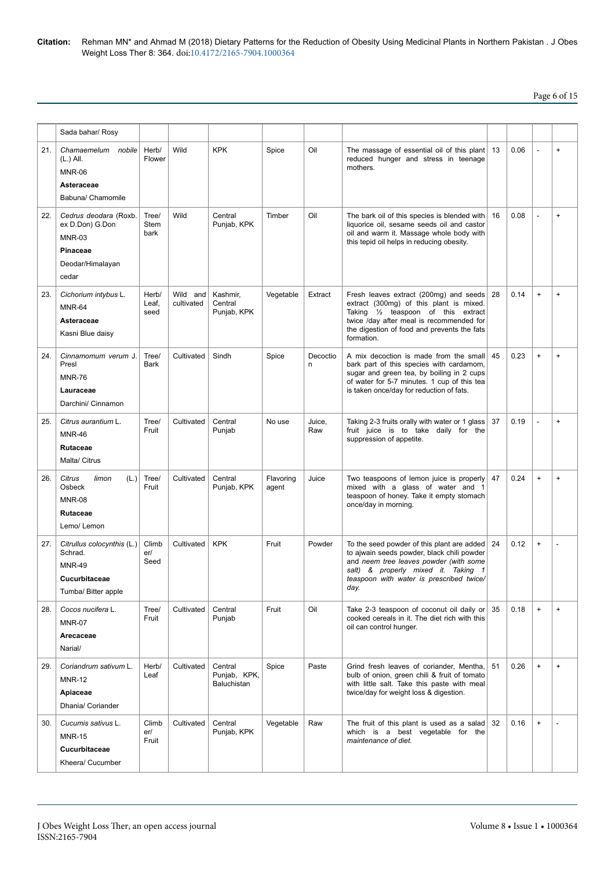## Page 6 of 15

|     | Sada bahar/ Rosy                                                                                   |                        |                        |                                               |                    |               |                                                                                                                                                                                                                                   |    |      |           |                                  |
|-----|----------------------------------------------------------------------------------------------------|------------------------|------------------------|-----------------------------------------------|--------------------|---------------|-----------------------------------------------------------------------------------------------------------------------------------------------------------------------------------------------------------------------------------|----|------|-----------|----------------------------------|
| 21. | Chamaemelum nobile<br>(L.) All.<br><b>MNR-06</b><br>Asteraceae<br>Babuna/ Chamomile                | Herb/<br>Flower        | Wild                   | <b>KPK</b>                                    | Spice              | Oil           | The massage of essential oil of this plant<br>reduced hunger and stress in teenage<br>mothers.                                                                                                                                    | 13 | 0.06 | L,        | $\begin{array}{c} + \end{array}$ |
| 22. | Cedrus deodara (Roxb.<br>ex D.Don) G.Don<br><b>MNR-03</b><br>Pinaceae<br>Deodar/Himalayan<br>cedar | Tree/<br>Stem<br>bark  | Wild                   | Central<br>Punjab, KPK                        | Timber             | Oil           | The bark oil of this species is blended with<br>liquorice oil, sesame seeds oil and castor<br>oil and warm it. Massage whole body with<br>this tepid oil helps in reducing obesity.                                               | 16 | 0.08 | Ĭ.        | $\begin{array}{c} + \end{array}$ |
| 23. | Cichorium intybus L.<br><b>MNR-64</b><br>Asteraceae<br>Kasni Blue daisy                            | Herb/<br>Leaf,<br>seed | Wild and<br>cultivated | Kashmir,<br>Central<br>Punjab, KPK            | Vegetable          | Extract       | Fresh leaves extract (200mg) and seeds<br>extract (300mg) of this plant is mixed.<br>Taking 1/2 teaspoon of this extract<br>twice /day after meal is recommended for<br>the digestion of food and prevents the fats<br>formation. | 28 | 0.14 | $\ddot{}$ | $\ddot{}$                        |
| 24. | Cinnamomum verum J.<br>Presl<br><b>MNR-76</b><br>Lauraceae<br>Darchini/ Cinnamon                   | Tree/<br><b>Bark</b>   | Cultivated             | Sindh                                         | Spice              | Decoctio<br>n | A mix decoction is made from the small<br>bark part of this species with cardamom.<br>sugar and green tea, by boiling in 2 cups<br>of water for 5-7 minutes. 1 cup of this tea<br>is taken once/day for reduction of fats.        | 45 | 0.23 | $\ddot{}$ | $\begin{array}{c} + \end{array}$ |
| 25. | Citrus aurantium L.<br><b>MNR-46</b><br><b>Rutaceae</b><br>Malta/ Citrus                           | Tree/<br>Fruit         | Cultivated             | Central<br>Punjab                             | No use             | Juice,<br>Raw | Taking 2-3 fruits orally with water or 1 glass<br>fruit juice is to take daily for the<br>suppression of appetite.                                                                                                                | 37 | 0.19 | L,        | $\begin{array}{c} + \end{array}$ |
| 26. | Citrus<br>limon<br>(L.)<br>Osbeck<br><b>MNR-08</b><br>Rutaceae<br>Lemo/ Lemon                      | Tree/<br>Fruit         | Cultivated             | Central<br>Punjab, KPK                        | Flavoring<br>agent | Juice         | Two teaspoons of lemon juice is properly<br>mixed with a glass of water and 1<br>teaspoon of honey. Take it empty stomach<br>once/day in morning.                                                                                 | 47 | 0.24 | $\ddot{}$ | $\ddot{}$                        |
| 27. | Citrullus colocynthis (L.)<br>Schrad.<br><b>MNR-49</b><br>Cucurbitaceae<br>Tumba/ Bitter apple     | Climb<br>er/<br>Seed   | Cultivated             | <b>KPK</b>                                    | Fruit              | Powder        | To the seed powder of this plant are added<br>to ajwain seeds powder, black chili powder<br>and neem tree leaves powder (with some<br>salt) & properly mixed it. Taking 1<br>teaspoon with water is prescribed twice/<br>day.     | 24 | 0.12 | $\ddot{}$ |                                  |
| 28. | Cocos nucifera L.<br><b>MNR-07</b><br>Arecaceae<br>Narial/                                         | Tree/<br>Fruit         | Cultivated             | Central<br>Punjab                             | Fruit              | Oil           | Take 2-3 teaspoon of coconut oil daily or<br>cooked cereals in it. The diet rich with this<br>oil can control hunger.                                                                                                             | 35 | 0.18 | $\ddot{}$ | $\ddot{}$                        |
| 29. | Coriandrum sativum L.<br><b>MNR-12</b><br>Apiaceae<br>Dhania/ Coriander                            | Herb/<br>Leaf          | Cultivated             | Central<br>Punjab, KPK,<br><b>Baluchistan</b> | Spice              | Paste         | Grind fresh leaves of coriander, Mentha,<br>bulb of onion, green chili & fruit of tomato<br>with little salt. Take this paste with meal<br>twice/day for weight loss & digestion.                                                 | 51 | 0.26 | $\ddot{}$ | $\begin{array}{c} + \end{array}$ |
| 30. | Cucumis sativus L.<br><b>MNR-15</b><br>Cucurbitaceae<br>Kheera/ Cucumber                           | Climb<br>er/<br>Fruit  | Cultivated             | Central<br>Punjab, KPK                        | Vegetable          | Raw           | The fruit of this plant is used as a salad<br>which is a best vegetable for the<br>maintenance of diet.                                                                                                                           | 32 | 0.16 | $\ddot{}$ |                                  |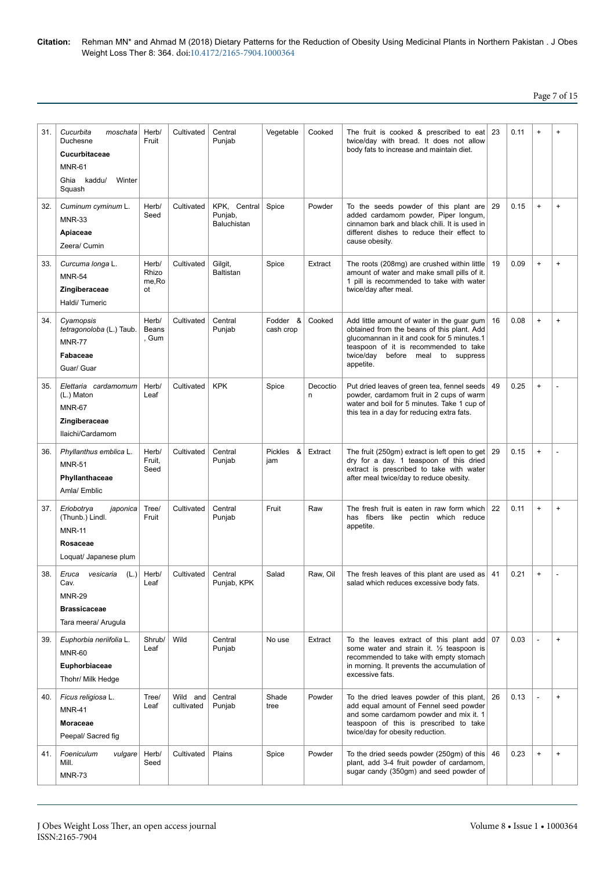| 31. | Cucurbita<br>moschata<br>Duchesne<br>Cucurbitaceae<br><b>MNR-61</b><br>Ghia kaddu/<br>Winter<br>Squash | Herb/<br>Fruit                 | Cultivated             | Central<br>Punjab                      | Vegetable             | Cooked        | The fruit is cooked & prescribed to eat<br>twice/day with bread. It does not allow<br>body fats to increase and maintain diet.                                                                                                       | 23 | 0.11 | $\ddot{}$                        | $\ddot{}$ |
|-----|--------------------------------------------------------------------------------------------------------|--------------------------------|------------------------|----------------------------------------|-----------------------|---------------|--------------------------------------------------------------------------------------------------------------------------------------------------------------------------------------------------------------------------------------|----|------|----------------------------------|-----------|
| 32. | Cuminum cyminum L.<br><b>MNR-33</b><br>Apiaceae<br>Zeera/ Cumin                                        | Herb/<br>Seed                  | Cultivated             | KPK, Central<br>Punjab,<br>Baluchistan | Spice                 | Powder        | To the seeds powder of this plant are<br>added cardamom powder, Piper longum,<br>cinnamon bark and black chili. It is used in<br>different dishes to reduce their effect to<br>cause obesity.                                        | 29 | 0.15 | $\ddot{}$                        | $\ddot{}$ |
| 33. | Curcuma longa L.<br><b>MNR-54</b><br>Zingiberaceae<br>Haldi/Tumeric                                    | Herb/<br>Rhizo<br>me, Ro<br>ot | Cultivated             | Gilgit,<br>Baltistan                   | Spice                 | Extract       | The roots (208mg) are crushed within little<br>amount of water and make small pills of it.<br>1 pill is recommended to take with water<br>twice/day after meal.                                                                      | 19 | 0.09 | $\ddot{}$                        | $\ddot{}$ |
| 34. | Cyamopsis<br>tetragonoloba (L.) Taub.<br><b>MNR-77</b><br>Fabaceae<br>Guar/ Guar                       | Herb/<br>Beans<br>, Gum        | Cultivated             | Central<br>Punjab                      | Fodder &<br>cash crop | Cooked        | Add little amount of water in the quar gum<br>obtained from the beans of this plant. Add<br>glucomannan in it and cook for 5 minutes.1<br>teaspoon of it is recommended to take<br>twice/day<br>before meal to suppress<br>appetite. | 16 | 0.08 | $\ddot{}$                        | $\ddot{}$ |
| 35. | Elettaria cardamomum<br>(L.) Maton<br><b>MNR-67</b><br>Zingiberaceae<br>Ilaichi/Cardamom               | Herb/<br>Leaf                  | Cultivated             | <b>KPK</b>                             | Spice                 | Decoctio<br>n | Put dried leaves of green tea, fennel seeds<br>powder, cardamom fruit in 2 cups of warm<br>water and boil for 5 minutes. Take 1 cup of<br>this tea in a day for reducing extra fats.                                                 | 49 | 0.25 | $\ddot{}$                        |           |
| 36. | Phyllanthus emblica L.<br><b>MNR-51</b><br>Phyllanthaceae<br>Amla/ Emblic                              | Herb/<br>Fruit,<br>Seed        | Cultivated             | Central<br>Punjab                      | &<br>Pickles<br>jam   | Extract       | The fruit (250gm) extract is left open to get<br>dry for a day. 1 teaspoon of this dried<br>extract is prescribed to take with water<br>after meal twice/day to reduce obesity.                                                      | 29 | 0.15 | $\ddot{}$                        |           |
| 37. | Eriobotrya<br>japonica<br>(Thunb.) Lindl.<br><b>MNR-11</b><br>Rosaceae<br>Loquat/ Japanese plum        | Tree/<br>Fruit                 | Cultivated             | Central<br>Punjab                      | Fruit                 | Raw           | The fresh fruit is eaten in raw form which<br>has fibers like pectin which reduce<br>appetite.                                                                                                                                       | 22 | 0.11 | $\ddot{}$                        | $+$       |
| 38. | vesicaria (L.)<br>Eruca<br>Cav.<br><b>MNR-29</b><br><b>Brassicaceae</b><br>Tara meera/ Arugula         | Herb/<br>Leaf                  | Cultivated             | Central<br>Punjab, KPK                 | Salad                 | Raw, Oil      | The fresh leaves of this plant are used as<br>salad which reduces excessive body fats.                                                                                                                                               | 41 | 0.21 | $\begin{array}{c} + \end{array}$ |           |
| 39. | Euphorbia neriifolia L.<br><b>MNR-60</b><br>Euphorbiaceae<br>Thohr/ Milk Hedge                         | Shrub/<br>Leaf                 | Wild                   | Central<br>Punjab                      | No use                | Extract       | To the leaves extract of this plant add<br>some water and strain it. $\frac{1}{2}$ teaspoon is<br>recommended to take with empty stomach<br>in morning. It prevents the accumulation of<br>excessive fats.                           | 07 | 0.03 | L,                               | $\ddot{}$ |
| 40. | Ficus religiosa L.<br><b>MNR-41</b><br>Moraceae<br>Peepal/ Sacred fig                                  | Tree/<br>Leaf                  | Wild and<br>cultivated | Central<br>Punjab                      | Shade<br>tree         | Powder        | To the dried leaves powder of this plant,<br>add equal amount of Fennel seed powder<br>and some cardamom powder and mix it. 1<br>teaspoon of this is prescribed to take<br>twice/day for obesity reduction.                          | 26 | 0.13 | ÷,                               | $\ddot{}$ |
| 41. | Foeniculum<br>vulgare<br>Mill.<br><b>MNR-73</b>                                                        | Herb/<br>Seed                  | Cultivated             | Plains                                 | Spice                 | Powder        | To the dried seeds powder (250gm) of this<br>plant, add 3-4 fruit powder of cardamom,<br>sugar candy (350gm) and seed powder of                                                                                                      | 46 | 0.23 | $\ddot{}$                        | $\ddot{}$ |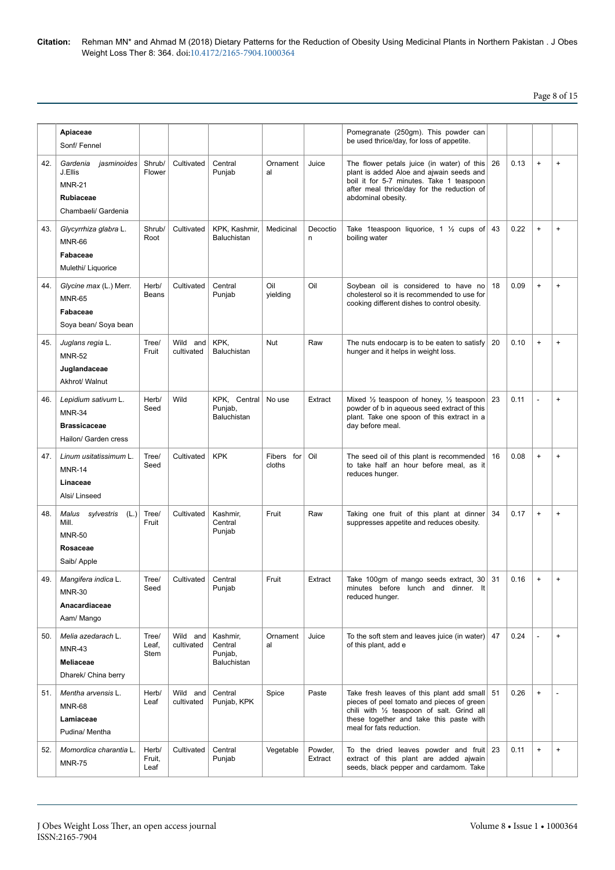## Page 8 of 15

|     | Apiaceae<br>Sonf/Fennel                                                                        |                         |                           |                                               |                         |                    | Pomegranate (250gm). This powder can<br>be used thrice/day, for loss of appetite.                                                                                                                              |    |      |                                  |           |
|-----|------------------------------------------------------------------------------------------------|-------------------------|---------------------------|-----------------------------------------------|-------------------------|--------------------|----------------------------------------------------------------------------------------------------------------------------------------------------------------------------------------------------------------|----|------|----------------------------------|-----------|
| 42. | Gardenia<br>jasminoides<br>J.Ellis<br><b>MNR-21</b><br><b>Rubiaceae</b><br>Chambaeli/ Gardenia | Shrub/<br>Flower        | Cultivated                | Central<br>Punjab                             | Ornament<br>al          | Juice              | The flower petals juice (in water) of this<br>plant is added Aloe and ajwain seeds and<br>boil it for 5-7 minutes. Take 1 teaspoon<br>after meal thrice/day for the reduction of<br>abdominal obesity.         | 26 | 0.13 | $\ddot{}$                        | $\ddot{}$ |
| 43. | Glycyrrhiza glabra L.<br><b>MNR-66</b><br>Fabaceae<br>Mulethi/ Liquorice                       | Shrub/<br>Root          | Cultivated                | KPK. Kashmir.<br>Baluchistan                  | Medicinal               | Decoctio<br>n      | Take 1 teaspoon liquorice, 1 $\frac{1}{2}$ cups of<br>boiling water                                                                                                                                            | 43 | 0.22 | $\begin{array}{c} + \end{array}$ | $\ddot{}$ |
| 44. | Glycine max (L.) Merr.<br><b>MNR-65</b><br>Fabaceae<br>Soya bean/ Soya bean                    | Herb/<br>Beans          | Cultivated                | Central<br>Punjab                             | Oil<br>yielding         | Oil                | Soybean oil is considered to have no<br>cholesterol so it is recommended to use for<br>cooking different dishes to control obesity.                                                                            | 18 | 0.09 | $\ddot{}$                        | $\ddot{}$ |
| 45. | Juglans regia L.<br><b>MNR-52</b><br>Juglandaceae<br>Akhrot/ Walnut                            | Tree/<br>Fruit          | Wild<br>and<br>cultivated | KPK,<br><b>Baluchistan</b>                    | <b>Nut</b>              | Raw                | The nuts endocarp is to be eaten to satisfy<br>hunger and it helps in weight loss.                                                                                                                             | 20 | 0.10 | $\ddot{}$                        | $\ddot{}$ |
| 46. | Lepidium sativum L.<br><b>MNR-34</b><br><b>Brassicaceae</b><br>Hailon/ Garden cress            | Herb/<br>Seed           | Wild                      | KPK, Central<br>Punjab,<br><b>Baluchistan</b> | No use                  | Extract            | Mixed $\frac{1}{2}$ teaspoon of honey, $\frac{1}{2}$ teaspoon<br>powder of b in aqueous seed extract of this<br>plant. Take one spoon of this extract in a<br>day before meal.                                 | 23 | 0.11 |                                  | $\ddot{}$ |
| 47. | Linum usitatissimum L.<br><b>MNR-14</b><br>Linaceae<br>Alsi/ Linseed                           | Tree/<br>Seed           | Cultivated                | <b>KPK</b>                                    | Fibers<br>for<br>cloths | Oil                | The seed oil of this plant is recommended<br>to take half an hour before meal, as it<br>reduces hunger.                                                                                                        | 16 | 0.08 | $+$                              | $\ddot{}$ |
| 48. | Malus sylvestris<br>(L.)<br>Mill.<br><b>MNR-50</b><br>Rosaceae<br>Saib/ Apple                  | Tree/<br>Fruit          | Cultivated                | Kashmir,<br>Central<br>Punjab                 | Fruit                   | Raw                | Taking one fruit of this plant at dinner<br>suppresses appetite and reduces obesity.                                                                                                                           | 34 | 0.17 | $\ddot{}$                        | $\ddot{}$ |
| 49. | Mangifera indica L.<br><b>MNR-30</b><br>Anacardiaceae<br>Aam/ Mango                            | Tree/<br>Seed           | Cultivated                | Central<br>Punjab                             | Fruit                   | Extract            | Take 100gm of mango seeds extract, 30<br>minutes before lunch and dinner. It<br>reduced hunger.                                                                                                                | 31 | 0.16 | $\begin{array}{c} + \end{array}$ | $\ddot{}$ |
| 50. | Melia azedarach L.<br><b>MNR-43</b><br><b>Meliaceae</b><br>Dharek/ China berry                 | Tree/<br>Leaf,<br>Stem  | Wild and<br>cultivated    | Kashmir,<br>Central<br>Punjab,<br>Baluchistan | Ornament<br>al          | Juice              | To the soft stem and leaves juice (in water) $ 47$<br>of this plant, add e                                                                                                                                     |    | 0.24 |                                  | $\ddot{}$ |
| 51. | Mentha arvensis L.<br><b>MNR-68</b><br>Lamiaceae<br>Pudina/ Mentha                             | Herb/<br>Leaf           | Wild and<br>cultivated    | Central<br>Punjab, KPK                        | Spice                   | Paste              | Take fresh leaves of this plant add small 51<br>pieces of peel tomato and pieces of green<br>chili with 1/2 teaspoon of salt. Grind all<br>these together and take this paste with<br>meal for fats reduction. |    | 0.26 | $\ddot{}$                        |           |
| 52. | Momordica charantia L.<br><b>MNR-75</b>                                                        | Herb/<br>Fruit,<br>Leaf | Cultivated                | Central<br>Punjab                             | Vegetable               | Powder,<br>Extract | To the dried leaves powder and fruit 23<br>extract of this plant are added ajwain<br>seeds, black pepper and cardamom. Take                                                                                    |    | 0.11 | $\begin{array}{c} + \end{array}$ | $\ddot{}$ |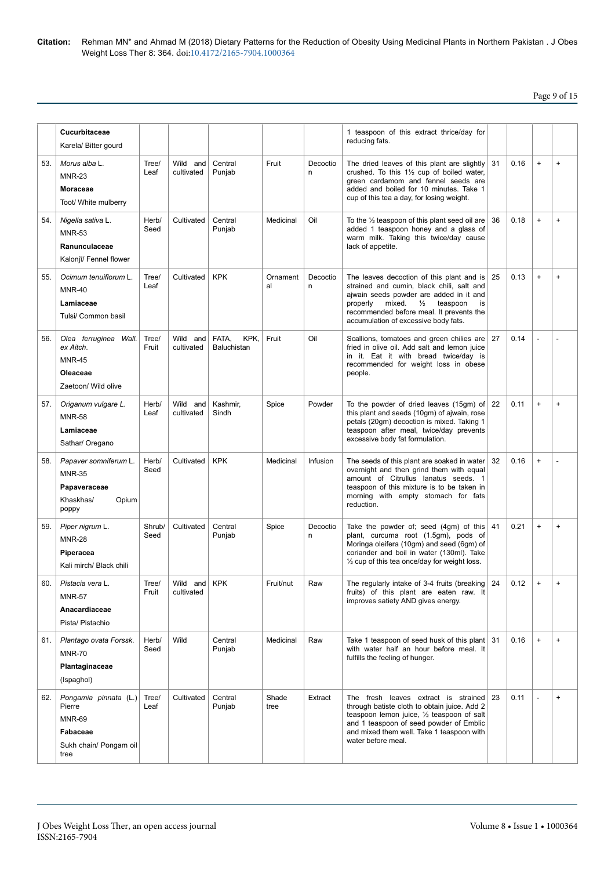Page 9 of 15

|       | Cucurbitaceae                                                                                  |                |                            |                              |                |               |                                                                                                                                                                                                                                                                             |     |      |           |                                  |
|-------|------------------------------------------------------------------------------------------------|----------------|----------------------------|------------------------------|----------------|---------------|-----------------------------------------------------------------------------------------------------------------------------------------------------------------------------------------------------------------------------------------------------------------------------|-----|------|-----------|----------------------------------|
|       | Karela/ Bitter gourd                                                                           |                |                            |                              |                |               | 1 teaspoon of this extract thrice/day for<br>reducing fats.                                                                                                                                                                                                                 |     |      |           |                                  |
| 53.   | Morus alba L.<br><b>MNR-23</b><br><b>Moraceae</b><br>Toot/ White mulberry                      | Tree/<br>Leaf  | Wild and<br>cultivated     | Central<br>Punjab            | Fruit          | Decoctio<br>n | The dried leaves of this plant are slightly<br>crushed. To this 11/2 cup of boiled water,<br>green cardamom and fennel seeds are<br>added and boiled for 10 minutes. Take 1<br>cup of this tea a day, for losing weight.                                                    | 31  | 0.16 | $\ddot{}$ | $\ddot{}$                        |
| 54.   | Nigella sativa L.<br><b>MNR-53</b><br>Ranunculaceae<br>Kalonjī/ Fennel flower                  | Herb/<br>Seed  | Cultivated                 | Central<br>Punjab            | Medicinal      | Oil           | To the $\frac{1}{2}$ teaspoon of this plant seed oil are<br>added 1 teaspoon honey and a glass of<br>warm milk. Taking this twice/day cause<br>lack of appetite.                                                                                                            | 36  | 0.18 | $\ddot{}$ | $\ddot{}$                        |
| 55.   | Ocimum tenuiflorum L.<br><b>MNR-40</b><br>Lamiaceae<br>Tulsi/ Common basil                     | Tree/<br>Leaf  | Cultivated                 | <b>KPK</b>                   | Ornament<br>al | Decoctio<br>n | The leaves decoction of this plant and is<br>strained and cumin, black chili, salt and<br>ajwain seeds powder are added in it and<br>properly<br>mixed.<br>$\frac{1}{2}$ teaspoon<br>is<br>recommended before meal. It prevents the<br>accumulation of excessive body fats. | 25  | 0.13 | $\ddot{}$ | $\ddot{}$                        |
| 56.   | Olea ferruginea Wall.<br>ex Aitch.<br><b>MNR-45</b><br>Oleaceae<br>Zaetoon/ Wild olive         | Tree/<br>Fruit | Wild and<br>cultivated     | KPK,<br>FATA,<br>Baluchistan | Fruit          | Oil           | Scallions, tomatoes and green chilies are<br>fried in olive oil. Add salt and lemon juice<br>in it. Eat it with bread twice/day is<br>recommended for weight loss in obese<br>people.                                                                                       | 27  | 0.14 |           |                                  |
| 57.   | Origanum vulgare L.<br><b>MNR-58</b><br>Lamiaceae<br>Sathar/ Oregano                           | Herb/<br>Leaf  | Wild and<br>cultivated     | Kashmir,<br>Sindh            | Spice          | Powder        | To the powder of dried leaves (15gm) of<br>this plant and seeds (10gm) of ajwain, rose<br>petals (20gm) decoction is mixed. Taking 1<br>teaspoon after meal, twice/day prevents<br>excessive body fat formulation.                                                          | 22  | 0.11 | $\ddot{}$ | $\begin{array}{c} + \end{array}$ |
| 58.   | Papaver somniferum L.<br><b>MNR-35</b><br>Papaveraceae<br>Khaskhas/<br>Opium<br>poppy          | Herb/<br>Seed  | Cultivated                 | <b>KPK</b>                   | Medicinal      | Infusion      | The seeds of this plant are soaked in water<br>overnight and then grind them with equal<br>amount of Citrullus lanatus seeds. 1<br>teaspoon of this mixture is to be taken in<br>morning with empty stomach for fats<br>reduction.                                          | 32  | 0.16 | $\ddot{}$ |                                  |
| 59.   | Piper nigrum L.<br><b>MNR-28</b><br>Piperacea<br>Kali mirch/ Black chili                       | Shrub/<br>Seed | Cultivated                 | Central<br>Punjab            | Spice          | Decoctio<br>n | Take the powder of; seed $(4gm)$ of this<br>plant, curcuma root (1.5gm), pods of<br>Moringa oleifera (10gm) and seed (6gm) of<br>coriander and boil in water (130ml). Take<br>$\frac{1}{2}$ cup of this tea once/day for weight loss.                                       | 41  | 0.21 | $\ddot{}$ | $\ddot{}$                        |
| 60.   | Pistacia vera L.<br><b>MNR-57</b><br>Anacardiaceae<br>Pista/ Pistachio                         | Tree/<br>Fruit | Wild and KPK<br>cultivated |                              | Fruit/nut      | Raw           | The regularly intake of 3-4 fruits (breaking $ 24$<br>fruits) of this plant are eaten raw. It<br>improves satiety AND gives energy.                                                                                                                                         |     | 0.12 | $\ddot{}$ | $\ddot{}$                        |
| 61. l | Plantago ovata Forssk.<br><b>MNR-70</b><br>Plantaginaceae<br>(Ispaghol)                        | Herb/<br>Seed  | Wild                       | Central<br>Punjab            | Medicinal      | Raw           | Take 1 teaspoon of seed husk of this plant<br>with water half an hour before meal. It<br>fulfills the feeling of hunger.                                                                                                                                                    | -31 | 0.16 | $\ddot{}$ | $\ddot{}$                        |
| 62.   | Pongamia pinnata (L.)<br>Pierre<br><b>MNR-69</b><br>Fabaceae<br>Sukh chain/ Pongam oil<br>tree | Tree/<br>Leaf  | Cultivated                 | Central<br>Punjab            | Shade<br>tree  | Extract       | The fresh leaves extract is strained<br>through batiste cloth to obtain juice. Add 2<br>teaspoon lemon juice, 1/2 teaspoon of salt<br>and 1 teaspoon of seed powder of Emblic<br>and mixed them well. Take 1 teaspoon with<br>water before meal.                            | 23  | 0.11 | ÷,        | $\ddot{}$                        |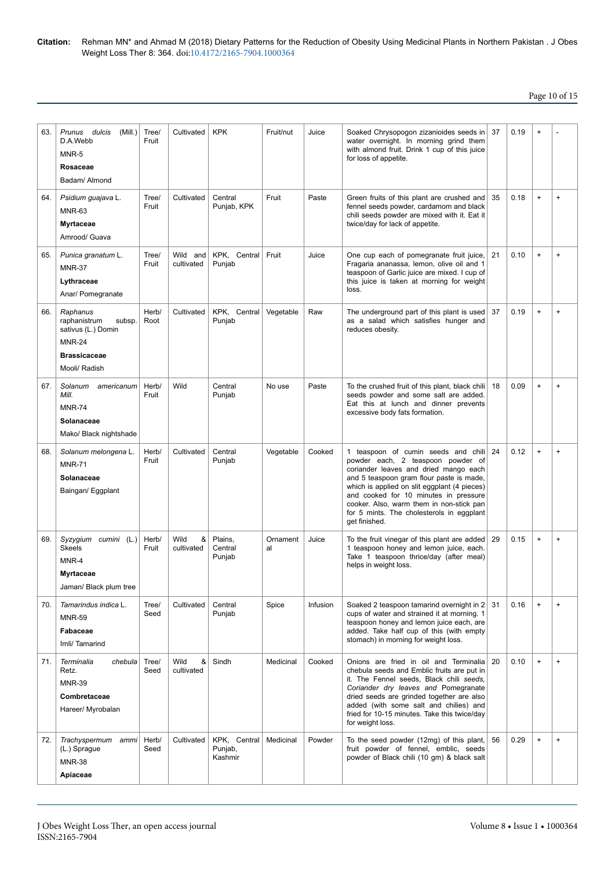| 63. | Prunus dulcis<br>(Mill.)<br>D.A.Webb<br>MNR-5<br>Rosaceae<br>Badam/ Almond                                        | Tree/<br>Fruit | Cultivated              | <b>KPK</b>                         | Fruit/nut      | Juice    | Soaked Chrysopogon zizanioides seeds in<br>water overnight. In morning grind them<br>with almond fruit. Drink 1 cup of this juice<br>for loss of appetite.                                                                                                                                                                                                       | 37 | 0.19 | $\ddot{}$                        |                                  |
|-----|-------------------------------------------------------------------------------------------------------------------|----------------|-------------------------|------------------------------------|----------------|----------|------------------------------------------------------------------------------------------------------------------------------------------------------------------------------------------------------------------------------------------------------------------------------------------------------------------------------------------------------------------|----|------|----------------------------------|----------------------------------|
| 64. | Psidium guajava L.<br><b>MNR-63</b><br><b>Myrtaceae</b><br>Amrood/ Guava                                          | Tree/<br>Fruit | Cultivated              | Central<br>Punjab, KPK             | Fruit          | Paste    | Green fruits of this plant are crushed and<br>fennel seeds powder, cardamom and black<br>chili seeds powder are mixed with it. Eat it<br>twice/day for lack of appetite.                                                                                                                                                                                         | 35 | 0.18 | $\begin{array}{c} + \end{array}$ | $\ddot{}$                        |
| 65. | Punica granatum L.<br><b>MNR-37</b><br>Lythraceae<br>Anar/ Pomegranate                                            | Tree/<br>Fruit | Wild and<br>cultivated  | KPK, Central<br>Punjab             | Fruit          | Juice    | One cup each of pomegranate fruit juice,<br>Fragaria ananassa, lemon, olive oil and 1<br>teaspoon of Garlic juice are mixed. I cup of<br>this juice is taken at morning for weight<br>loss.                                                                                                                                                                      | 21 | 0.10 | $\begin{array}{c} + \end{array}$ | $\ddot{}$                        |
| 66. | Raphanus<br>raphanistrum<br>subsp.<br>sativus (L.) Domin<br><b>MNR-24</b><br><b>Brassicaceae</b><br>Mooli/ Radish | Herb/<br>Root  | Cultivated              | KPK, Central<br>Punjab             | Vegetable      | Raw      | The underground part of this plant is used<br>as a salad which satisfies hunger and<br>reduces obesity.                                                                                                                                                                                                                                                          | 37 | 0.19 | $\begin{array}{c} + \end{array}$ | $\ddot{}$                        |
| 67. | Solanum americanum<br>Mill.<br><b>MNR-74</b><br>Solanaceae<br>Mako/ Black nightshade                              | Herb/<br>Fruit | Wild                    | Central<br>Punjab                  | No use         | Paste    | To the crushed fruit of this plant, black chili<br>seeds powder and some salt are added.<br>Eat this at lunch and dinner prevents<br>excessive body fats formation.                                                                                                                                                                                              | 18 | 0.09 | $\begin{array}{c} + \end{array}$ | $\ddot{}$                        |
| 68. | Solanum melongena L.<br><b>MNR-71</b><br>Solanaceae<br>Baingan/ Eggplant                                          | Herb/<br>Fruit | Cultivated              | Central<br>Punjab                  | Vegetable      | Cooked   | 1 teaspoon of cumin seeds and chili<br>powder each, 2 teaspoon powder of<br>coriander leaves and dried mango each<br>and 5 teaspoon gram flour paste is made,<br>which is applied on slit eggplant (4 pieces)<br>and cooked for 10 minutes in pressure<br>cooker. Also, warm them in non-stick pan<br>for 5 mints. The cholesterols in eggplant<br>get finished. | 24 | 0.12 | $\begin{array}{c} + \end{array}$ | $\ddot{}$                        |
| 69. | Syzygium cumini (L.)<br><b>Skeels</b><br>MNR-4<br><b>Myrtaceae</b><br>Jaman/ Black plum tree                      | Herb/<br>Fruit | &<br>Wild<br>cultivated | Plains,<br>Central<br>Punjab       | Ornament<br>al | Juice    | To the fruit vinegar of this plant are added<br>1 teaspoon honey and lemon juice, each.<br>Take 1 teaspoon thrice/day (after meal)<br>helps in weight loss.                                                                                                                                                                                                      | 29 | 0.15 | $\begin{array}{c} + \end{array}$ | $\ddot{}$                        |
| 70. | Tamarindus indica L.<br><b>MNR-59</b><br>Fabaceae<br>Imli/ Tamarind                                               | Tree/<br>Seed  | Cultivated              | Central<br>Punjab                  | Spice          | Infusion | Soaked 2 teaspoon tamarind overnight in 2<br>cups of water and strained it at morning. 1<br>teaspoon honey and lemon juice each, are<br>added. Take half cup of this (with empty<br>stomach) in morning for weight loss.                                                                                                                                         | 31 | 0.16 | $\ddot{}$                        | $\begin{array}{c} + \end{array}$ |
| 71. | Terminalia<br>chebula<br>Retz.<br><b>MNR-39</b><br>Combretaceae<br>Hareer/ Myrobalan                              | Tree/<br>Seed  | &<br>Wild<br>cultivated | Sindh                              | Medicinal      | Cooked   | Onions are fried in oil and Terminalia<br>chebula seeds and Emblic fruits are put in<br>it. The Fennel seeds, Black chili seeds,<br>Coriander dry leaves and Pomegranate<br>dried seeds are grinded together are also<br>added (with some salt and chilies) and<br>fried for 10-15 minutes. Take this twice/day<br>for weight loss.                              | 20 | 0.10 | $\ddot{}$                        | $\ddot{}$                        |
| 72. | Trachyspermum ammi<br>(L.) Sprague<br><b>MNR-38</b><br>Apiaceae                                                   | Herb/<br>Seed  | Cultivated              | KPK, Central<br>Punjab,<br>Kashmir | Medicinal      | Powder   | To the seed powder (12mg) of this plant,<br>fruit powder of fennel, emblic, seeds<br>powder of Black chili (10 gm) & black salt                                                                                                                                                                                                                                  | 56 | 0.29 | $\ddot{}$                        | $\ddot{}$                        |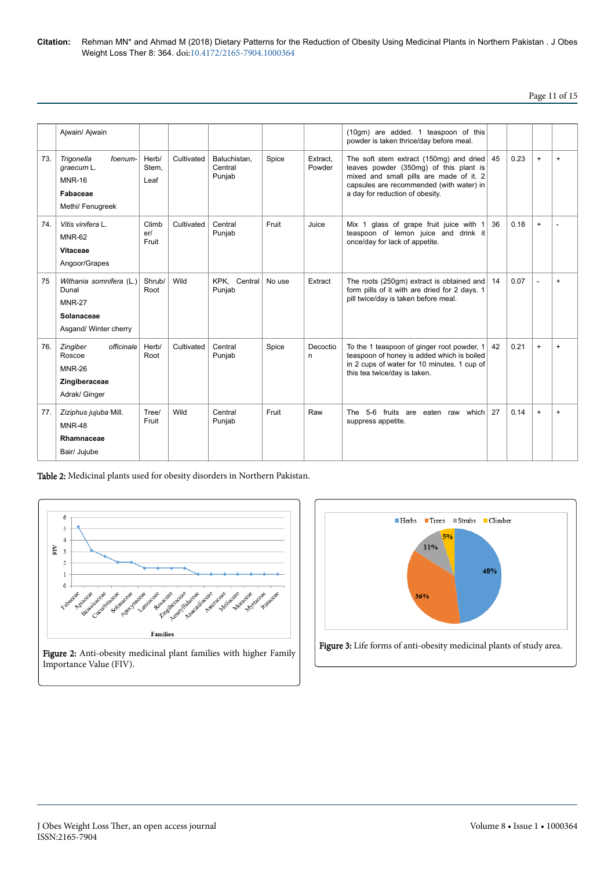## Page 11 of 15

|     | Ajwain/ Ajwain                                                                           |                        |            |                                   |        |                    | (10qm) are added. 1 teaspoon of this<br>powder is taken thrice/day before meal.                                                                                                                             |    |      |           |     |
|-----|------------------------------------------------------------------------------------------|------------------------|------------|-----------------------------------|--------|--------------------|-------------------------------------------------------------------------------------------------------------------------------------------------------------------------------------------------------------|----|------|-----------|-----|
| 73. | foenum-<br>Trigonella<br>graecum L.<br><b>MNR-16</b><br>Fabaceae<br>Methi/ Fenugreek     | Herb/<br>Stem.<br>Leaf | Cultivated | Baluchistan,<br>Central<br>Punjab | Spice  | Extract,<br>Powder | The soft stem extract (150mg) and dried<br>leaves powder (350mg) of this plant is<br>mixed and small pills are made of it. 2<br>capsules are recommended (with water) in<br>a day for reduction of obesity. | 45 | 0.23 | $\ddot{}$ | $+$ |
| 74. | Vitis vinifera L.<br><b>MNR-62</b><br>Vitaceae<br>Angoor/Grapes                          | Climb<br>er/<br>Fruit  | Cultivated | Central<br>Punjab                 | Fruit  | Juice              | Mix 1 glass of grape fruit juice with 1<br>teaspoon of lemon juice and drink it<br>once/day for lack of appetite.                                                                                           | 36 | 0.18 | $\ddot{}$ |     |
| 75  | Withania somnifera (L.)<br>Dunal<br><b>MNR-27</b><br>Solanaceae<br>Asgand/ Winter cherry | Shrub/<br>Root         | Wild       | KPK. Central<br>Punjab            | No use | Extract            | The roots (250gm) extract is obtained and<br>form pills of it with are dried for 2 days. 1<br>pill twice/day is taken before meal.                                                                          | 14 | 0.07 | L,        | $+$ |
| 76. | Zingiber<br>officinale<br>Roscoe<br><b>MNR-26</b><br>Zingiberaceae<br>Adrak/ Ginger      | Herb/<br>Root          | Cultivated | Central<br>Punjab                 | Spice  | Decoctio<br>n      | To the 1 teaspoon of ginger root powder, 1<br>teaspoon of honey is added which is boiled<br>in 2 cups of water for 10 minutes. 1 cup of<br>this tea twice/day is taken.                                     | 42 | 0.21 | $\ddot{}$ | $+$ |
| 77. | Ziziphus jujuba Mill.<br><b>MNR-48</b><br>Rhamnaceae<br>Bair/ Jujube                     | Tree/<br>Fruit         | Wild       | Central<br>Punjab                 | Fruit  | Raw                | The 5-6 fruits are eaten raw which<br>suppress appetite.                                                                                                                                                    | 27 | 0.14 | $\ddot{}$ | $+$ |

Table 2: Medicinal plants used for obesity disorders in Northern Pakistan.



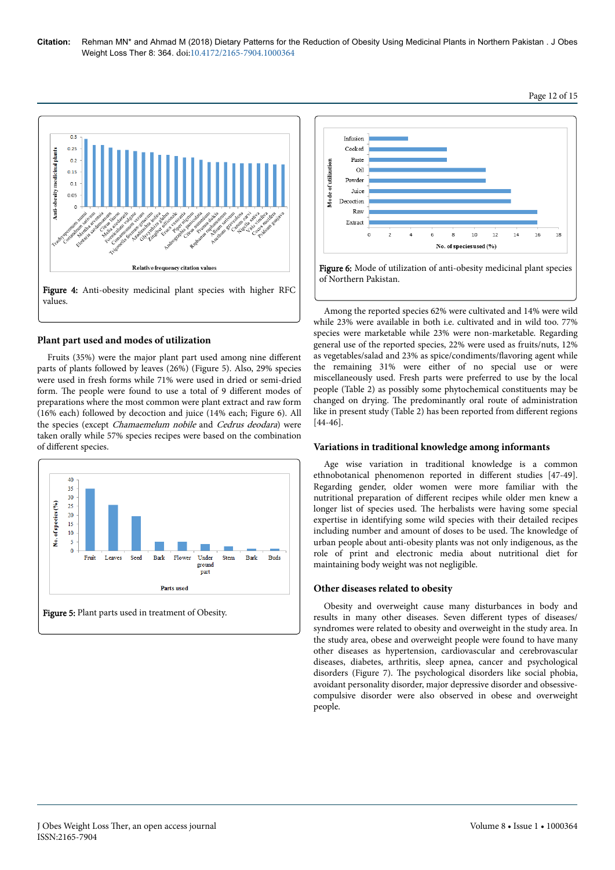

## **Plant part used and modes of utilization**

Fruits (35%) were the major plant part used among nine different parts of plants followed by leaves (26%) (Figure 5). Also, 29% species were used in fresh forms while 71% were used in dried or semi-dried form. The people were found to use a total of 9 different modes of preparations where the most common were plant extract and raw form (16% each) followed by decoction and juice (14% each; Figure 6). All the species (except Chamaemelum nobile and Cedrus deodara) were taken orally while 57% species recipes were based on the combination of different species.





Among the reported species 62% were cultivated and 14% were wild while 23% were available in both i.e. cultivated and in wild too. 77% species were marketable while 23% were non-marketable. Regarding general use of the reported species, 22% were used as fruits/nuts, 12% as vegetables/salad and 23% as spice/condiments/flavoring agent while the remaining 31% were either of no special use or were miscellaneously used. Fresh parts were preferred to use by the local people (Table 2) as possibly some phytochemical constituents may be changed on drying. Нe predominantly oral route of administration like in present study (Table 2) has been reported from different regions [44-46].

### **Variations in traditional knowledge among informants**

Age wise variation in traditional knowledge is a common ethnobotanical phenomenon reported in different studies [47-49]. Regarding gender, older women were more familiar with the nutritional preparation of different recipes while older men knew a longer list of species used. Нe herbalists were having some special expertise in identifying some wild species with their detailed recipes including number and amount of doses to be used. Нe knowledge of urban people about anti-obesity plants was not only indigenous, as the role of print and electronic media about nutritional diet for maintaining body weight was not negligible.

### **Other diseases related to obesity**

Obesity and overweight cause many disturbances in body and results in many other diseases. Seven different types of diseases/ syndromes were related to obesity and overweight in the study area. In the study area, obese and overweight people were found to have many other diseases as hypertension, cardiovascular and cerebrovascular diseases, diabetes, arthritis, sleep apnea, cancer and psychological disorders (Figure 7). Нe psychological disorders like social phobia, avoidant personality disorder, major depressive disorder and obsessivecompulsive disorder were also observed in obese and overweight people.

### Page 12 of 15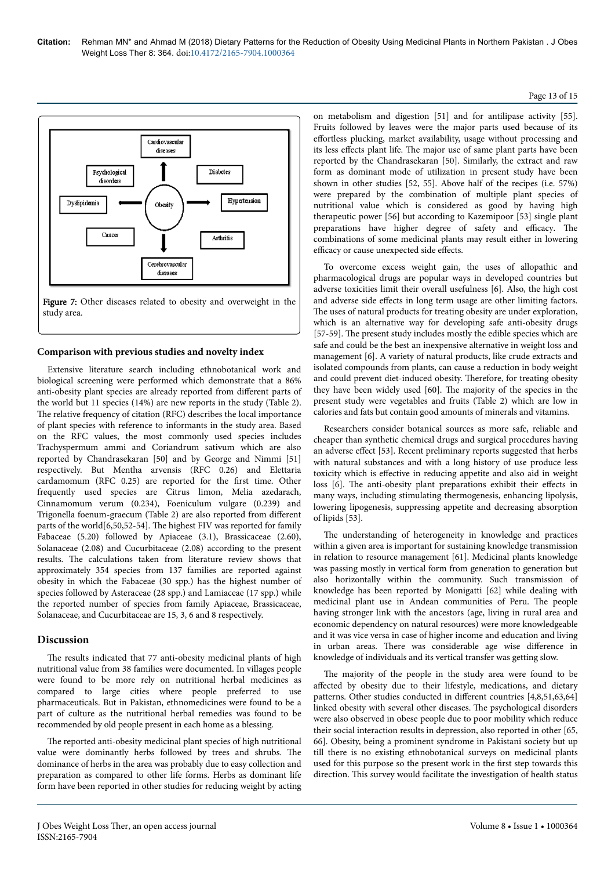### Page 13 of 15





### **Comparison with previous studies and novelty index**

Extensive literature search including ethnobotanical work and biological screening were performed which demonstrate that a 86% anti-obesity plant species are already reported from different parts of the world but 11 species (14%) are new reports in the study (Table 2). The relative frequency of citation (RFC) describes the local importance of plant species with reference to informants in the study area. Based on the RFC values, the most commonly used species includes Trachyspermum ammi and Coriandrum sativum which are also reported by Chandrasekaran [50] and by George and Nimmi [51] respectively. But Mentha arvensis (RFC 0.26) and Elettaria cardamomum (RFC 0.25) are reported for the first time. Other frequently used species are Citrus limon, Melia azedarach, Cinnamomum verum (0.234), Foeniculum vulgare (0.239) and Trigonella foenum-graecum (Table 2) are also reported from different parts of the world[6,50,52-54]. Нe highest FIV was reported for family Fabaceae (5.20) followed by Apiaceae (3.1), Brassicaceae (2.60), Solanaceae (2.08) and Cucurbitaceae (2.08) according to the present results. Нe calculations taken from literature review shows that approximately 354 species from 137 families are reported against obesity in which the Fabaceae (30 spp.) has the highest number of species followed by Asteraceae (28 spp.) and Lamiaceae (17 spp.) while the reported number of species from family Apiaceae, Brassicaceae, Solanaceae, and Cucurbitaceae are 15, 3, 6 and 8 respectively.

## **Discussion**

The results indicated that 77 anti-obesity medicinal plants of high nutritional value from 38 families were documented. In villages people were found to be more rely on nutritional herbal medicines as compared to large cities where people preferred to use pharmaceuticals. But in Pakistan, ethnomedicines were found to be a part of culture as the nutritional herbal remedies was found to be recommended by old people present in each home as a blessing.

The reported anti-obesity medicinal plant species of high nutritional value were dominantly herbs followed by trees and shrubs. Нe dominance of herbs in the area was probably due to easy collection and preparation as compared to other life forms. Herbs as dominant life form have been reported in other studies for reducing weight by acting on metabolism and digestion [51] and for antilipase activity [55]. Fruits followed by leaves were the major parts used because of its effortless plucking, market availability, usage without processing and its less effects plant life. The major use of same plant parts have been reported by the Chandrasekaran [50]. Similarly, the extract and raw form as dominant mode of utilization in present study have been shown in other studies [52, 55]. Above half of the recipes (i.e. 57%) were prepared by the combination of multiple plant species of nutritional value which is considered as good by having high therapeutic power [56] but according to Kazemipoor [53] single plant preparations have higher degree of safety and efficacy. The combinations of some medicinal plants may result either in lowering efficacy or cause unexpected side effects.

To overcome excess weight gain, the uses of allopathic and pharmacological drugs are popular ways in developed countries but adverse toxicities limit their overall usefulness [6]. Also, the high cost and adverse side effects in long term usage are other limiting factors. The uses of natural products for treating obesity are under exploration, which is an alternative way for developing safe anti-obesity drugs [57-59]. The present study includes mostly the edible species which are safe and could be the best an inexpensive alternative in weight loss and management [6]. A variety of natural products, like crude extracts and isolated compounds from plants, can cause a reduction in body weight and could prevent diet-induced obesity. Нerefore, for treating obesity they have been widely used [60]. Нe majority of the species in the present study were vegetables and fruits (Table 2) which are low in calories and fats but contain good amounts of minerals and vitamins.

Researchers consider botanical sources as more safe, reliable and cheaper than synthetic chemical drugs and surgical procedures having an adverse effect [53]. Recent preliminary reports suggested that herbs with natural substances and with a long history of use produce less toxicity which is effective in reducing appetite and also aid in weight loss [6]. The anti-obesity plant preparations exhibit their effects in many ways, including stimulating thermogenesis, enhancing lipolysis, lowering lipogenesis, suppressing appetite and decreasing absorption of lipids [53].

The understanding of heterogeneity in knowledge and practices within a given area is important for sustaining knowledge transmission in relation to resource management [61]. Medicinal plants knowledge was passing mostly in vertical form from generation to generation but also horizontally within the community. Such transmission of knowledge has been reported by Monigatti [62] while dealing with medicinal plant use in Andean communities of Peru. Нe people having stronger link with the ancestors (age, living in rural area and economic dependency on natural resources) were more knowledgeable and it was vice versa in case of higher income and education and living in urban areas. There was considerable age wise difference in knowledge of individuals and its vertical transfer was getting slow.

The majority of the people in the study area were found to be affected by obesity due to their lifestyle, medications, and dietary patterns. Other studies conducted in different countries [4,8,51,63,64] linked obesity with several other diseases. Нe psychological disorders were also observed in obese people due to poor mobility which reduce their social interaction results in depression, also reported in other [65, 66]. Obesity, being a prominent syndrome in Pakistani society but up till there is no existing ethnobotanical surveys on medicinal plants used for this purpose so the present work in the first step towards this direction. Нis survey would facilitate the investigation of health status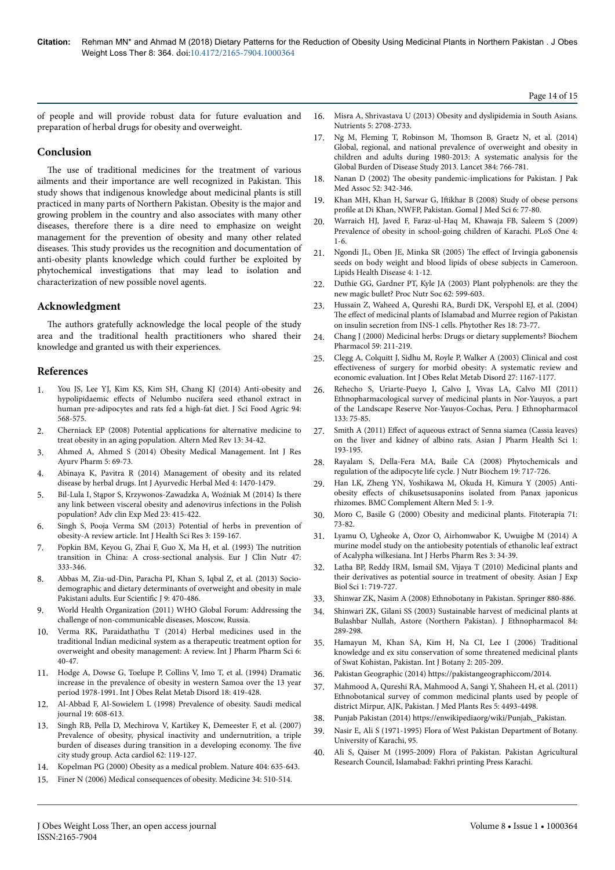Page 14 of 15

of people and will provide robust data for future evaluation and preparation of herbal drugs for obesity and overweight.

16. [Misra A, Shrivastava U \(2013\) Obesity and dyslipidemia in South Asians.](https://dx.doi.org/10.3390%2Fnu5072708) [Nutrients 5: 2708-2733.](https://dx.doi.org/10.3390%2Fnu5072708)

## **Conclusion**

The use of traditional medicines for the treatment of various ailments and their importance are well recognized in Pakistan. Нis study shows that indigenous knowledge about medicinal plants is still practiced in many parts of Northern Pakistan. Obesity is the major and growing problem in the country and also associates with many other diseases, therefore there is a dire need to emphasize on weight management for the prevention of obesity and many other related diseases. Нis study provides us the recognition and documentation of anti-obesity plants knowledge which could further be exploited by phytochemical investigations that may lead to isolation and characterization of new possible novel agents.

## **Acknowledgment**

The authors gratefully acknowledge the local people of the study area and the traditional health practitioners who shared their knowledge and granted us with their experiences.

### **References**

- 1. [You JS, Lee YJ, Kim KS, Kim SH, Chang KJ \(2014\) Anti‐obesity and](https://doi.org/10.1002/jsfa.6297) hypolipidaemic effects [of Nelumbo nucifera seed ethanol extract in](https://doi.org/10.1002/jsfa.6297) human pre-adipocytes and rats fed a high-fat diet. J Sci Food Agric 94: [568-575.](https://doi.org/10.1002/jsfa.6297)
- 2. Cherniack EP (2008) Potential applications for alternative medicine to treat obesity in an aging population. Altern Med Rev 13: 34-42.
- 3. Ahmed A, Ahmed S (2014) Obesity Medical Management. Int J Res Ayurv Pharm 5: 69-73.
- 4. Abinaya K, Pavitra R (2014) Management of obesity and its related disease by herbal drugs. Int J Ayurvedic Herbal Med 4: 1470-1479.
- 5. [Bil-Lula I, Stąpor S, Krzywonos-Zawadzka A, Woźniak M \(2014\) Is there](https://doi.org/10.17219/acem/37139) [any link between visceral obesity and adenovirus infections in the Polish](https://doi.org/10.17219/acem/37139) [population? Adv clin Exp Med 23: 415-422.](https://doi.org/10.17219/acem/37139)
- 6. Singh S, Pooja Verma SM (2013) Potential of herbs in prevention of obesity-A review article. Int J Health Sci Res 3: 159-167.
- 7. Popkin BM, Keyou G, Zhai F, Guo X, Ma H, et al. (1993) Нe nutrition transition in China: A cross-sectional analysis. Eur J Clin Nutr 47: 333-346.
- 8. Abbas M, Zia-ud-Din, Paracha PI, Khan S, Iqbal Z, et al. (2013) Sociodemographic and dietary determinants of overweight and obesity in male Pakistani adults. Eur Scientific J 9: 470-486.
- 9. World Health Organization (2011) WHO Global Forum: Addressing the challenge of non-communicable diseases, Moscow, Russia.
- Verma RK, Paraidathathu T (2014) Herbal medicines used in the traditional Indian medicinal system as a therapeutic treatment option for overweight and obesity management: A review. Int J Pharm Pharm Sci 6: 40-47.
- 11. Hodge A, Dowse G, Toelupe P, Collins V, Imo T, et al. (1994) Dramatic increase in the prevalence of obesity in western Samoa over the 13 year period 1978-1991. Int J Obes Relat Metab Disord 18: 419-428.
- 12. Al-Abbad F, Al-Sowielem L (1998) Prevalence of obesity. Saudi medical journal 19: 608-613.
- 13. [Singh RB, Pella D, Mechirova V, Kartikey K, Demeester F, et al. \(2007\)](https://doi.org/10.2143/AC.62.2.2020231) [Prevalence of obesity, physical inactivity and undernutrition, a triple](https://doi.org/10.2143/AC.62.2.2020231) [burden of diseases during transition in a developing economy.](https://doi.org/10.2143/AC.62.2.2020231) Нe five [city study group. Acta cardiol 62: 119-127.](https://doi.org/10.2143/AC.62.2.2020231)
- 14. [Kopelman PG \(2000\) Obesity as a medical problem. Nature 404: 635-643.](https://doi.org/10.1038/35007508)
- 15. [Finer N \(2006\) Medical consequences of obesity. Medicine 34: 510-514.](http://dx.doi.org/10.1016/j.mpmed.2010.11.008)
- 17. [Ng M, Fleming T, Robinson M,](https://doi.org/10.1016/S0140-6736(14)60460-8) Нomson B, Graetz N, et al. (2014)
- [Global, regional, and national prevalence of overweight and obesity in](https://doi.org/10.1016/S0140-6736(14)60460-8) [children and adults during 1980-2013: A systematic analysis for the](https://doi.org/10.1016/S0140-6736(14)60460-8) [Global Burden of Disease Study 2013. Lancet 384: 766-781.](https://doi.org/10.1016/S0140-6736(14)60460-8)
- Nanan D (2002) The obesity pandemic-implications for Pakistan. J Pak Med Assoc 52: 342-346.
- Khan MH, Khan H, Sarwar G, Iftikhar [B \(2008\) Study of obese persons](http://gjms.com.pk/files/GJMS%20Vol-6-2%20(3).pdf) profile [at Di Khan, NWFP, Pakistan. Gomal J Med Sci 6: 77-80.](http://gjms.com.pk/files/GJMS%20Vol-6-2%20(3).pdf)
- 20. [Warraich HJ, Javed F, Faraz-ul-Haq M, Khawaja FB, Saleem S \(2009\)](https://doi.org/10.1371/journal.pone.0004816) [Prevalence of obesity in school-going children of Karachi. PLoS One 4:](https://doi.org/10.1371/journal.pone.0004816) [1-6.](https://doi.org/10.1371/journal.pone.0004816)
- 21. [Ngondi JL, Oben JE, Minka SR \(2005\)](https://dx.doi.org/10.1186%2F1476-511X-4-12) The effect of Irvingia gabonensis [seeds on body weight and blood lipids of obese subjects in Cameroon.](https://dx.doi.org/10.1186%2F1476-511X-4-12) [Lipids Health Disease 4: 1-12.](https://dx.doi.org/10.1186%2F1476-511X-4-12)
- 22. [Duthie GG, Gardner PT, Kyle JA \(2003\) Plant polyphenols: are they the](https://doi.org/10.1079/PNS2003275) [new magic bullet? Proc Nutr Soc 62: 599-603.](https://doi.org/10.1079/PNS2003275)
- 23. [Hussain Z, Waheed A, Qureshi RA, Burdi DK, Verspohl EJ, et al. \(2004\)](https://doi.org/10.1002/ptr.1372) The effect [of medicinal plants of Islamabad and Murree region of Pakistan](https://doi.org/10.1002/ptr.1372) [on insulin secretion from INS‐1 cells. Phytother Res 18: 73-77.](https://doi.org/10.1002/ptr.1372)
- 24. Chang J (2000) Medicinal herbs: Drugs or dietary supplements? Biochem Pharmacol 59: 211-219.
- 25. [Clegg A, Colquitt J, Sidhu M, Royle P, Walker A \(2003\) Clinical and cost](https://doi.org/10.1038/sj.ijo.0802394) effectiveness [of surgery for morbid obesity: A systematic review and](https://doi.org/10.1038/sj.ijo.0802394) [economic evaluation. Int J Obes Relat Metab Disord 27: 1167-1177.](https://doi.org/10.1038/sj.ijo.0802394)
- 26. [Rehecho S, Uriarte-Pueyo I, Calvo J, Vivas LA, Calvo MI \(2011\)](https://doi.org/10.1016/j.jep.2010.09.006) [Ethnopharmacological survey of medicinal plants in Nor-Yauyos, a part](https://doi.org/10.1016/j.jep.2010.09.006) [of the Landscape Reserve Nor-Yauyos-Cochas, Peru. J Ethnopharmacol](https://doi.org/10.1016/j.jep.2010.09.006) [133: 75-85.](https://doi.org/10.1016/j.jep.2010.09.006)
- 27. Smith A (2011) Effect of aqueous extract of Senna siamea (Cassia leaves) on the liver and kidney of albino rats. Asian J Pharm Health Sci 1: 193-195.
- 28. [Rayalam S, Della-Fera MA, Baile CA \(2008\) Phytochemicals and](file:///C:/Users/Panshika-s/Desktop/Akash/10.1016/j.jnutbio.2007.12.007) [regulation of the adipocyte life cycle. J Nutr Biochem 19: 717-726.](file:///C:/Users/Panshika-s/Desktop/Akash/10.1016/j.jnutbio.2007.12.007)
- 29. [Han LK, Zheng YN, Yoshikawa M, Okuda H, Kimura Y \(2005\) Anti](https://doi.org/10.1186/1472-6882-5-9)obesity effects [of chikusetsusaponins isolated from Panax japonicus](https://doi.org/10.1186/1472-6882-5-9) [rhizomes. BMC Complement Altern Med 5: 1-9.](https://doi.org/10.1186/1472-6882-5-9)
- 30. Moro C, Basile G (2000) Obesity and medicinal plants. Fitoterapia 71: 73-82.
- 31. [Lyamu O, Ugheoke A, Ozor O, Airhomwabor K, Uwuigbe M \(2014\) A](http://www.arpjournals.com/docs/IJPHR/IJPHR%20-%20volume%203%20issue%202/Paper%202...Iyamu%20et%20al.,%203(2)%202014.%20pdf.pdf) [murine model study on the antiobesity potentials of ethanolic leaf extract](http://www.arpjournals.com/docs/IJPHR/IJPHR%20-%20volume%203%20issue%202/Paper%202...Iyamu%20et%20al.,%203(2)%202014.%20pdf.pdf) [of Acalypha wilkesiana. Int J Herbs Pharm Res 3: 34-39.](http://www.arpjournals.com/docs/IJPHR/IJPHR%20-%20volume%203%20issue%202/Paper%202...Iyamu%20et%20al.,%203(2)%202014.%20pdf.pdf)
- 32. [Latha BP, Reddy IRM, Ismail SM, Vijaya T \(2010\) Medicinal plants and](https://www.researchgate.net/publication/284027069_Medicinal_plants_and_their_derivatives_as_potential_source_in_treatment_of_obesity) [their derivatives as potential source in treatment of obesity. Asian J Exp](https://www.researchgate.net/publication/284027069_Medicinal_plants_and_their_derivatives_as_potential_source_in_treatment_of_obesity) [Biol Sci 1: 719-727.](https://www.researchgate.net/publication/284027069_Medicinal_plants_and_their_derivatives_as_potential_source_in_treatment_of_obesity)
- 33. Shinwar ZK, Nasim A (2008) Ethnobotany in Pakistan. Springer 880-886.
- 34. [Shinwari ZK, Gilani SS \(2003\) Sustainable harvest of medicinal plants at](https://doi.org/10.1016/s0378-8741(02)00333-1) [Bulashbar Nullah, Astore \(Northern Pakistan\). J Ethnopharmacol 84:](https://doi.org/10.1016/s0378-8741(02)00333-1) [289-298.](https://doi.org/10.1016/s0378-8741(02)00333-1)
- 35. [Hamayun M, Khan SA, Kim H, Na CI, Lee I \(2006\) Traditional](https://doi.org/10.3923/ijb.2006.205.209) [knowledge and ex situ conservation of some threatened medicinal plants](https://doi.org/10.3923/ijb.2006.205.209) [of Swat Kohistan, Pakistan. Int J Botany 2: 205-209.](https://doi.org/10.3923/ijb.2006.205.209)
- 36. Pakistan Geographic (2014) https://pakistangeographiccom/2014.
- 37. [Mahmood A, Qureshi RA, Mahmood A, Sangi Y, Shaheen H, et al. \(2011\)](https://doi.org/10.5897/jmpr11.1780) [Ethnobotanical survey of common medicinal plants used by people of](https://doi.org/10.5897/jmpr11.1780) [district Mirpur, AJK, Pakistan. J Med Plants Res 5: 4493-4498.](https://doi.org/10.5897/jmpr11.1780)
- 38. Punjab Pakistan (2014) [https://enwikipediaorg/wiki/Punjab,\\_Pakistan.](https://enwikipediaorg/wiki/Punjab,_Pakistan)
- 39. Nasir E, Ali S (1971-1995) Flora of West Pakistan Department of Botany. University of Karachi, 95.
- 40. Ali S, Qaiser M (1995-2009) Flora of Pakistan. Pakistan Agricultural Research Council, Islamabad: Fakhri printing Press Karachi.